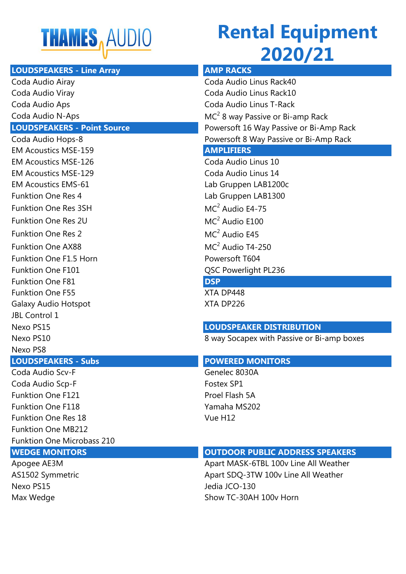

## **Rental Equipment 2020/21**

| <b>LOUDSPEAKERS - Line Array</b>   | <b>AMP RACKS</b>                           |
|------------------------------------|--------------------------------------------|
| Coda Audio Airay                   | Coda Audio Linus Rack40                    |
| Coda Audio Viray                   | Coda Audio Linus Rack10                    |
| Coda Audio Aps                     | Coda Audio Linus T-Rack                    |
| Coda Audio N-Aps                   | $MC2$ 8 way Passive or Bi-amp Rack         |
| <b>LOUDSPEAKERS - Point Source</b> | Powersoft 16 Way Passive or Bi-Amp Rack    |
| Coda Audio Hops-8                  | Powersoft 8 Way Passive or Bi-Amp Rack     |
| <b>EM Acoustics MSE-159</b>        | <b>AMPLIFIERS</b>                          |
| <b>EM Acoustics MSE-126</b>        | Coda Audio Linus 10                        |
| <b>EM Acoustics MSE-129</b>        | Coda Audio Linus 14                        |
| <b>EM Acoustics EMS-61</b>         | Lab Gruppen LAB1200c                       |
| <b>Funktion One Res 4</b>          | Lab Gruppen LAB1300                        |
| <b>Funktion One Res 3SH</b>        | $MC2$ Audio E4-75                          |
| <b>Funktion One Res 2U</b>         | $MC2$ Audio E100                           |
| <b>Funktion One Res 2</b>          | $MC2$ Audio E45                            |
| <b>Funktion One AX88</b>           | $MC2$ Audio T4-250                         |
| <b>Funktion One F1.5 Horn</b>      | Powersoft T604                             |
| <b>Funktion One F101</b>           | QSC Powerlight PL236                       |
| <b>Funktion One F81</b>            | <b>DSP</b>                                 |
| <b>Funktion One F55</b>            | XTA DP448                                  |
| <b>Galaxy Audio Hotspot</b>        | XTA DP226                                  |
| <b>JBL Control 1</b>               |                                            |
| Nexo PS15                          | <b>LOUDSPEAKER DISTRIBUTION</b>            |
| Nexo PS10                          | 8 way Socapex with Passive or Bi-amp boxes |
| Nexo PS8                           |                                            |
| <b>LOUDSPEAKERS - Subs</b>         | <b>POWERED MONITORS</b>                    |
| Coda Audio Scv-F                   | Genelec 8030A                              |
| Coda Audio Scp-F                   | Fostex SP1                                 |
| <b>Funktion One F121</b>           | Proel Flash 5A                             |
| <b>Funktion One F118</b>           | Yamaha MS202                               |
| <b>Funktion One Res 18</b>         | Vue H12                                    |
| <b>Funktion One MB212</b>          |                                            |
| <b>Funktion One Microbass 210</b>  |                                            |

Nexo PS15 Jedia JCO-130

### **WEDGE MONITORS OUTDOOR PUBLIC ADDRESS SPEAKERS**

Apogee AE3M Apart MASK-6TBL 100v Line All Weather AS1502 Symmetric Assessment Apart SDQ-3TW 100v Line All Weather Max Wedge Show TC-30AH 100v Horn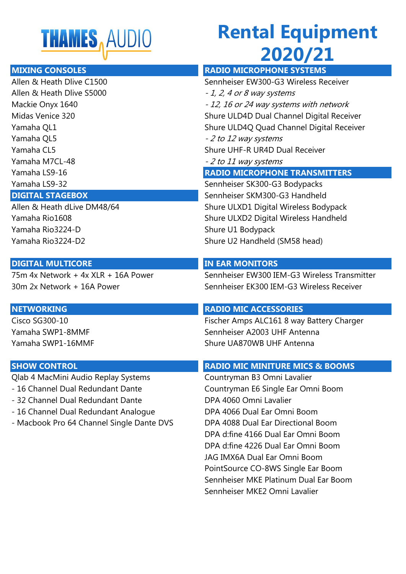

# **Rental Equipment 2020/21**

Allen & Heath Dlive S5000  $-1$ , 2, 4 or 8 way systems Yamaha QL5  $\sim$  2 to 12 way systems Yamaha M7CL-48 - 2 to 11 way systems

Yamaha Rio3224-D Shure U1 Bodypack Yamaha Rio3224-D2 Shure U2 Handheld (SM58 head)

### **DIGITAL MULTICORE IN EAR MONITORS**

Qlab 4 MacMini Audio Replay Systems Countryman B3 Omni Lavalier

- 
- 32 Channel Dual Redundant Dante DPA 4060 Omni Lavalier
- 16 Channel Dual Redundant Analogue DPA 4066 Dual Ear Omni Boom
- Macbook Pro 64 Channel Single Dante DVS DPA 4088 Dual Ear Directional Boom

### **MIXING CONSOLES RADIO MICROPHONE SYSTEMS**

Allen & Heath Dlive C1500 Sennheiser EW300-G3 Wireless Receiver Mackie Onyx 1640 - 12, 16 or 24 way systems with network Midas Venice 320 Shure ULD4D Dual Channel Digital Receiver Yamaha QL1 Shure ULD4Q Quad Channel Digital Receiver Yamaha CL5 Shure UHF-R UR4D Dual Receiver Yamaha LS9-16 **RADIO MICROPHONE TRANSMITTERS** Yamaha LS9-32 Sennheiser SK300-G3 Bodypacks **DIGITAL STAGEBOX** Sennheiser SKM300-G3 Handheld Allen & Heath dLive DM48/64 Shure ULXD1 Digital Wireless Bodypack Yamaha Rio1608 Shure ULXD2 Digital Wireless Handheld

75m 4x Network + 4x XLR + 16A Power Sennheiser EW300 IEM-G3 Wireless Transmitter 30m 2x Network + 16A Power Sennheiser EK300 IEM-G3 Wireless Receiver

### **NETWORKING RADIO MIC ACCESSORIES**

Cisco SG300-10 Fischer Amps ALC161 8 way Battery Charger Yamaha SWP1-8MMF Sennheiser A2003 UHF Antenna Yamaha SWP1-16MMF Shure UA870WB UHF Antenna

### **SHOW CONTROL CONTROL CONTROL CONTROL**

- 16 Channel Dual Redundant Dante Countryman E6 Single Ear Omni Boom DPA d:fine 4166 Dual Ear Omni Boom DPA d:fine 4226 Dual Ear Omni Boom JAG IMX6A Dual Ear Omni Boom PointSource CO-8WS Single Ear Boom Sennheiser MKE Platinum Dual Ear Boom Sennheiser MKE2 Omni Lavalier